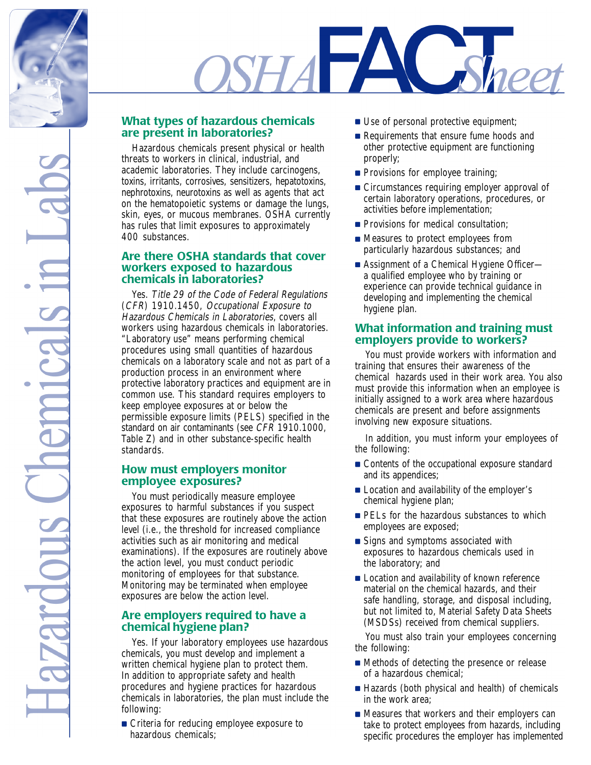

# **SETALE** heet

## **What types of hazardous chemicals are present in laboratories?**

Hazardous chemicals present physical or health threats to workers in clinical, industrial, and academic laboratories. They include carcinogens, toxins, irritants, corrosives, sensitizers, hepatotoxins, nephrotoxins, neurotoxins as well as agents that act on the hematopoietic systems or damage the lungs, skin, eyes, or mucous membranes. OSHA currently has rules that limit exposures to approximately 400 substances.

## **Are there OSHA standards that cover workers exposed to hazardous chemicals in laboratories?**

Yes. Title 29 of the Code of Federal Regulations (CFR) 1910.1450, Occupational Exposure to Hazardous Chemicals in Laboratories, covers all workers using hazardous chemicals in laboratories. "Laboratory use" means performing chemical procedures using small quantities of hazardous chemicals on a laboratory scale and not as part of a production process in an environment where protective laboratory practices and equipment are in common use. This standard requires employers to keep employee exposures at or below the permissible exposure limits (PELS) specified in the standard on air contaminants (see CFR 1910.1000, Table Z) and in other substance-specific health standards.

## **How must employers monitor employee exposures?**

You must periodically measure employee exposures to harmful substances if you suspect that these exposures are routinely above the action level (i.e., the threshold for increased compliance activities such as air monitoring and medical examinations). If the exposures are routinely above the action level, you must conduct periodic monitoring of employees for that substance. Monitoring may be terminated when employee exposures are below the action level.

## **Are employers required to have a chemical hygiene plan?**

Yes. If your laboratory employees use hazardous chemicals, you must develop and implement a written chemical hygiene plan to protect them. In addition to appropriate safety and health procedures and hygiene practices for hazardous chemicals in laboratories, the plan must include the following:

■ Criteria for reducing employee exposure to hazardous chemicals;

- Use of personal protective equipment;
- Requirements that ensure fume hoods and other protective equipment are functioning properly;
- Provisions for employee training;
- Circumstances requiring employer approval of certain laboratory operations, procedures, or activities before implementation;
- Provisions for medical consultation;
- Measures to protect employees from particularly hazardous substances; and
- Assignment of a Chemical Hygiene Officer a qualified employee who by training or experience can provide technical guidance in developing and implementing the chemical hygiene plan.

#### **What information and training must employers provide to workers?**

You must provide workers with information and training that ensures their awareness of the chemical hazards used in their work area. You also must provide this information when an employee is initially assigned to a work area where hazardous chemicals are present and before assignments involving new exposure situations.

In addition, you must inform your employees of the following:

- Contents of the occupational exposure standard and its appendices;
- Location and availability of the employer's chemical hygiene plan;
- PELs for the hazardous substances to which employees are exposed;
- Signs and symptoms associated with exposures to hazardous chemicals used in the laboratory; and
- Location and availability of known reference material on the chemical hazards, and their safe handling, storage, and disposal including, but not limited to, Material Safety Data Sheets (MSDSs) received from chemical suppliers.

You must also train your employees concerning the following:

- Methods of detecting the presence or release of a hazardous chemical;
- Hazards (both physical and health) of chemicals in the work area;
- Measures that workers and their employers can take to protect employees from hazards, including specific procedures the employer has implemented